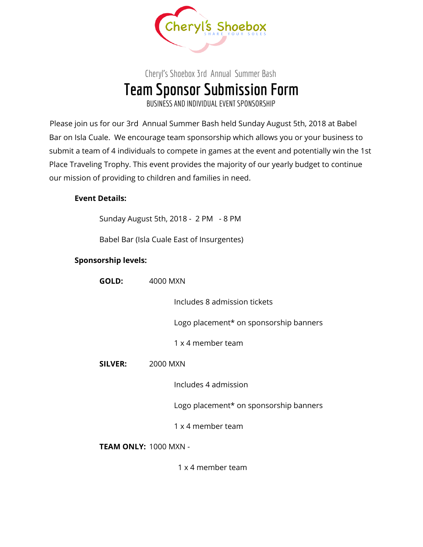

## Cheryl's Shoebox 3rd Annual Summer Bash **Team Sponsor Submission Form** BUSINESS AND INDIVIDUALEVENTSPONSORSHIP

Please join us for our 3rd Annual Summer Bash held Sunday August 5th, 2018 at Babel Bar on Isla Cuale. We encourage team sponsorship which allows you or your business to submit a team of 4 individuals to compete in games at the event and potentially win the 1st Place Traveling Trophy. This event provides the majority of our yearly budget to continue our mission of providing to children and families in need.

## **Event Details:**

Sunday August 5th, 2018 - 2 PM - 8 PM

Babel Bar (Isla Cuale East of Insurgentes)

## **Sponsorship levels:**

| GOLD:          | 4000 MXN                               |  |
|----------------|----------------------------------------|--|
|                | Includes 8 admission tickets           |  |
|                | Logo placement* on sponsorship banners |  |
|                | 1 x 4 member team                      |  |
| <b>SILVER:</b> | 2000 MXN                               |  |
|                | Includes 4 admission                   |  |
|                | Logo placement* on sponsorship banners |  |
|                | 1 x 4 member team                      |  |
|                |                                        |  |

**TEAM ONLY:** 1000 MXN -

1 x 4 member team